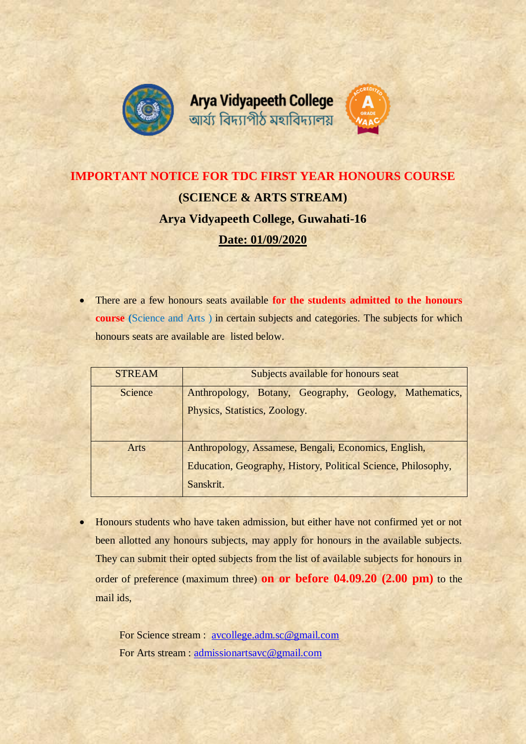





## **IMPORTANT NOTICE FOR TDC FIRST YEAR HONOURS COURSE (SCIENCE & ARTS STREAM) Arya Vidyapeeth College, Guwahati-16 Date: 01/09/2020**

 There are a few honours seats available **for the students admitted to the honours course (**Science and Arts ) in certain subjects and categories. The subjects for which honours seats are available are listed below.

| <b>STREAM</b> | Subjects available for honours seat                                                                                   |  |  |  |  |
|---------------|-----------------------------------------------------------------------------------------------------------------------|--|--|--|--|
| Science       | Anthropology, Botany, Geography, Geology, Mathematics,                                                                |  |  |  |  |
|               | Physics, Statistics, Zoology.                                                                                         |  |  |  |  |
|               |                                                                                                                       |  |  |  |  |
| <b>Arts</b>   | Anthropology, Assamese, Bengali, Economics, English,<br>Education, Geography, History, Political Science, Philosophy, |  |  |  |  |
|               |                                                                                                                       |  |  |  |  |
|               | Sanskrit.                                                                                                             |  |  |  |  |

• Honours students who have taken admission, but either have not confirmed yet or not been allotted any honours subjects, may apply for honours in the available subjects. They can submit their opted subjects from the list of available subjects for honours in order of preference (maximum three) **on or before 04.09.20 (2.00 pm)** to the mail ids,

> For Science stream : [avcollege.adm.sc@gmail.com](mailto:avcollege.adm.sc@gmail.com) For Arts stream : [admissionartsavc@gmail.com](mailto:admissionartsavc@gmail.com)